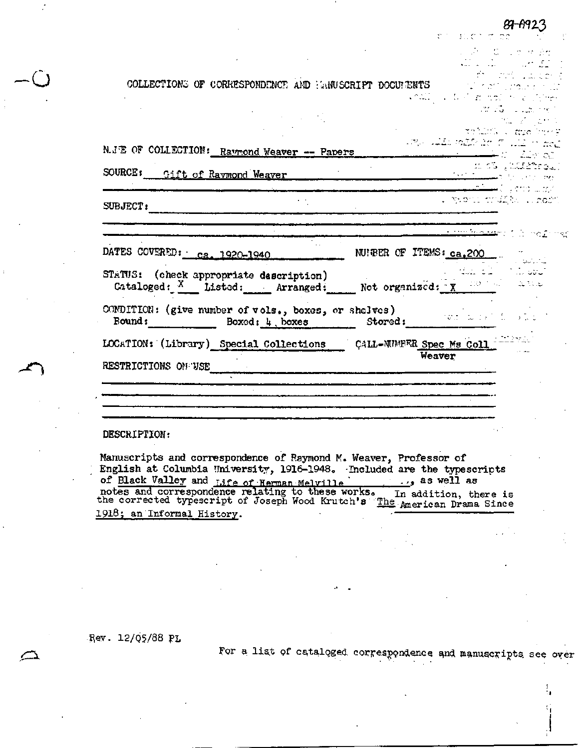| COLLECTIONS OF CORRESPONDENCE AND HANUSCRIPT DOCUMENTS And the set proper |                                                                                                                |
|---------------------------------------------------------------------------|----------------------------------------------------------------------------------------------------------------|
|                                                                           | <b>CARDON CONTRACTOR</b> CONTRACTOR                                                                            |
|                                                                           | and classes                                                                                                    |
|                                                                           | i ma shi de s                                                                                                  |
|                                                                           | villes and they                                                                                                |
| N.JE OF COLLECTION: Raymond Weaver -- Papers                              | ing all mil in 112 mm.<br><u> Liet of </u>                                                                     |
| SOURCE: Gift of Ravmond Weaver                                            |                                                                                                                |
|                                                                           |                                                                                                                |
|                                                                           | i yaoni mulika waon                                                                                            |
| SUBJECT:                                                                  |                                                                                                                |
|                                                                           | <u>the Markets of the Same</u>                                                                                 |
|                                                                           |                                                                                                                |
| DATES COVERED: ca. 1920-1940                                              | NUIRER OF ITEMS: $ca.200$                                                                                      |
| STATUS: (check appropriate description)                                   | بالمحامل والمستندر الأباعي المعلقة                                                                             |
| Cataloged: $\frac{X}{1}$ Listed: Arranged: Not organized: $\frac{X}{X}$   |                                                                                                                |
|                                                                           |                                                                                                                |
| Bound: Boxed: 4, boxes                                                    |                                                                                                                |
| LOCATION: (Library) Special Collections CALL-NUMPER Spec Ms Coll          |                                                                                                                |
|                                                                           | Weaver                                                                                                         |
| RESTRICTIONS ON USE                                                       | an sa taon any kaominina mpikambana amin'ny fivondronan-kaominin'i Amerika ao amin'ny fivondronan-kaominin'i A |
|                                                                           |                                                                                                                |
|                                                                           |                                                                                                                |
|                                                                           |                                                                                                                |
|                                                                           |                                                                                                                |

 $\mathbb{R}^{n_1 \times n_2 \times n_1}$ 

mes.

List Court with

## DESCRIPTION:

Manuscripts and correspondence of Raymond M. Weaver, Professor of English at Columbia University, 1916-1948. Included are the typescripts 1918; an Informal History.

Rev. 12/05/88 PL

For a list of cataloged correspondence and manuscripts see over